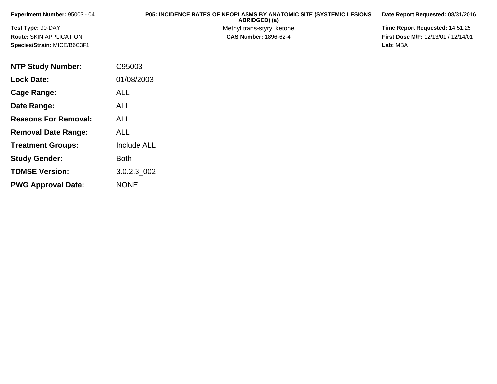| Experiment Number: 95003 - 04 | <b>P05: INCIDENCE RATES OF NEOPLASMS BY ANATOMIC SITE (SYSTEMIC LESIONS)</b><br>ABRIDGED) (a) | Date Report Requested: 08/31/2016          |
|-------------------------------|-----------------------------------------------------------------------------------------------|--------------------------------------------|
| Test Type: 90-DAY             | Methyl trans-styryl ketone                                                                    | <b>Time Report Requested: 14:51:25</b>     |
| Route: SKIN APPLICATION       | <b>CAS Number: 1896-62-4</b>                                                                  | <b>First Dose M/F: 12/13/01 / 12/14/01</b> |
| Species/Strain: MICE/B6C3F1   |                                                                                               | Lab: MBA                                   |

| <b>NTP Study Number:</b>    | C95003             |
|-----------------------------|--------------------|
| <b>Lock Date:</b>           | 01/08/2003         |
| Cage Range:                 | <b>ALL</b>         |
| Date Range:                 | ALL                |
| <b>Reasons For Removal:</b> | <b>ALL</b>         |
| <b>Removal Date Range:</b>  | <b>ALL</b>         |
| <b>Treatment Groups:</b>    | <b>Include ALL</b> |
| <b>Study Gender:</b>        | Both               |
| <b>TDMSE Version:</b>       | 3.0.2.3 002        |
| <b>PWG Approval Date:</b>   | <b>NONE</b>        |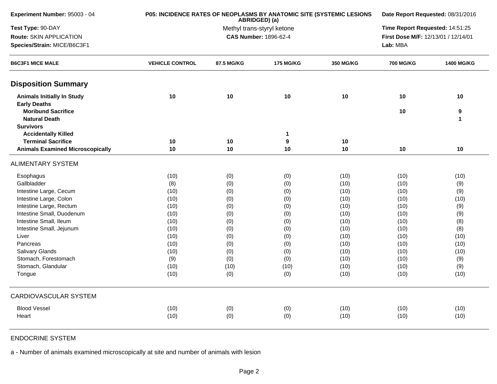| Experiment Number: 95003 - 04           | P05: INCIDENCE RATES OF NEOPLASMS BY ANATOMIC SITE (SYSTEMIC LESIONS | ABRIDGED) (a)                |                            |                  | Date Report Requested: 08/31/2016   |                                 |  |  |
|-----------------------------------------|----------------------------------------------------------------------|------------------------------|----------------------------|------------------|-------------------------------------|---------------------------------|--|--|
| Test Type: 90-DAY                       |                                                                      |                              | Methyl trans-styryl ketone |                  |                                     | Time Report Requested: 14:51:25 |  |  |
| Route: SKIN APPLICATION                 |                                                                      | <b>CAS Number: 1896-62-4</b> |                            |                  | First Dose M/F: 12/13/01 / 12/14/01 |                                 |  |  |
| Species/Strain: MICE/B6C3F1             |                                                                      |                              |                            |                  | Lab: MBA                            |                                 |  |  |
| <b>B6C3F1 MICE MALE</b>                 | <b>VEHICLE CONTROL</b>                                               | 87.5 MG/KG                   | <b>175 MG/KG</b>           | <b>350 MG/KG</b> | <b>700 MG/KG</b>                    | 1400 MG/KG                      |  |  |
| <b>Disposition Summary</b>              |                                                                      |                              |                            |                  |                                     |                                 |  |  |
| <b>Animals Initially In Study</b>       | 10                                                                   | 10                           | $10$                       | 10               | 10                                  | 10                              |  |  |
| <b>Early Deaths</b>                     |                                                                      |                              |                            |                  |                                     |                                 |  |  |
| <b>Moribund Sacrifice</b>               |                                                                      |                              |                            |                  | 10                                  | $\boldsymbol{9}$                |  |  |
| <b>Natural Death</b>                    |                                                                      |                              |                            |                  |                                     | $\mathbf{1}$                    |  |  |
| <b>Survivors</b>                        |                                                                      |                              |                            |                  |                                     |                                 |  |  |
| <b>Accidentally Killed</b>              |                                                                      |                              | 1                          |                  |                                     |                                 |  |  |
| <b>Terminal Sacrifice</b>               | 10                                                                   | 10                           | 9                          | 10               |                                     |                                 |  |  |
| <b>Animals Examined Microscopically</b> | 10                                                                   | 10                           | 10                         | 10               | 10                                  | 10                              |  |  |
| <b>ALIMENTARY SYSTEM</b>                |                                                                      |                              |                            |                  |                                     |                                 |  |  |
| Esophagus                               | (10)                                                                 | (0)                          | (0)                        | (10)             | (10)                                | (10)                            |  |  |
| Gallbladder                             | (8)                                                                  | (0)                          | (0)                        | (10)             | (10)                                | (9)                             |  |  |
| Intestine Large, Cecum                  | (10)                                                                 | (0)                          | (0)                        | (10)             | (10)                                | (9)                             |  |  |
| Intestine Large, Colon                  | (10)                                                                 | (0)                          | (0)                        | (10)             | (10)                                | (10)                            |  |  |
| Intestine Large, Rectum                 | (10)                                                                 | (0)                          | (0)                        | (10)             | (10)                                | (9)                             |  |  |
| Intestine Small, Duodenum               | (10)                                                                 | (0)                          | (0)                        | (10)             | (10)                                | (9)                             |  |  |
| Intestine Small, Ileum                  | (10)                                                                 | (0)                          | (0)                        | (10)             | (10)                                | (8)                             |  |  |
| Intestine Small, Jejunum                | (10)                                                                 | (0)                          | (0)                        | (10)             | (10)                                | (8)                             |  |  |
| Liver                                   | (10)                                                                 | (0)                          | (0)                        | (10)             | (10)                                | (10)                            |  |  |
| Pancreas                                | (10)                                                                 | (0)                          | (0)                        | (10)             | (10)                                | (10)                            |  |  |
| <b>Salivary Glands</b>                  | (10)                                                                 | (0)                          | (0)                        | (10)             | (10)                                | (10)                            |  |  |
| Stomach, Forestomach                    | (9)                                                                  | (0)                          | (0)                        | (10)             | (10)                                | (9)                             |  |  |
| Stomach, Glandular                      | (10)                                                                 | (10)                         | (10)                       | (10)             | (10)                                | (9)                             |  |  |
| Tongue                                  | (10)                                                                 | (0)                          | (0)                        | (10)             | (10)                                | (10)                            |  |  |
| <b>CARDIOVASCULAR SYSTEM</b>            |                                                                      |                              |                            |                  |                                     |                                 |  |  |
| <b>Blood Vessel</b>                     | (10)                                                                 | (0)                          | (0)                        | (10)             | (10)                                | (10)                            |  |  |
| Heart                                   | (10)                                                                 | (0)                          | (0)                        | (10)             | (10)                                | (10)                            |  |  |
|                                         |                                                                      |                              |                            |                  |                                     |                                 |  |  |

## ENDOCRINE SYSTEM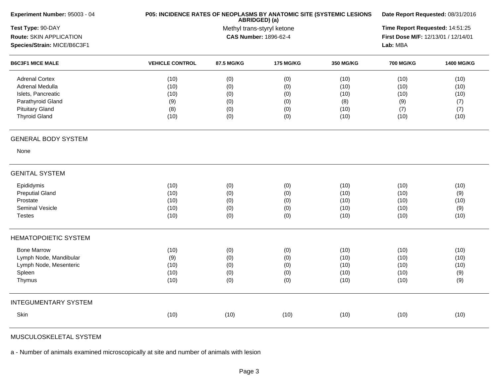| Experiment Number: 95003 - 04 |                        | P05: INCIDENCE RATES OF NEOPLASMS BY ANATOMIC SITE (SYSTEMIC LESIONS<br>ABRIDGED) (a) |                              |                  |                                     |                   |  |
|-------------------------------|------------------------|---------------------------------------------------------------------------------------|------------------------------|------------------|-------------------------------------|-------------------|--|
| Test Type: 90-DAY             |                        |                                                                                       | Methyl trans-styryl ketone   |                  | Time Report Requested: 14:51:25     |                   |  |
| Route: SKIN APPLICATION       |                        |                                                                                       | <b>CAS Number: 1896-62-4</b> |                  | First Dose M/F: 12/13/01 / 12/14/01 |                   |  |
| Species/Strain: MICE/B6C3F1   |                        |                                                                                       |                              |                  | Lab: MBA                            |                   |  |
| <b>B6C3F1 MICE MALE</b>       | <b>VEHICLE CONTROL</b> | 87.5 MG/KG                                                                            | <b>175 MG/KG</b>             | <b>350 MG/KG</b> | <b>700 MG/KG</b>                    | <b>1400 MG/KG</b> |  |
| <b>Adrenal Cortex</b>         | (10)                   | (0)                                                                                   | (0)                          | (10)             | (10)                                | (10)              |  |
| Adrenal Medulla               | (10)                   | (0)                                                                                   | (0)                          | (10)             | (10)                                | (10)              |  |
| Islets, Pancreatic            | (10)                   | (0)                                                                                   | (0)                          | (10)             | (10)                                | (10)              |  |
| Parathyroid Gland             | (9)                    | (0)                                                                                   | (0)                          | (8)              | (9)                                 | (7)               |  |
| <b>Pituitary Gland</b>        | (8)                    | (0)                                                                                   | (0)                          | (10)             | (7)                                 | (7)               |  |
| <b>Thyroid Gland</b>          | (10)                   | (0)                                                                                   | (0)                          | (10)             | (10)                                | (10)              |  |
| <b>GENERAL BODY SYSTEM</b>    |                        |                                                                                       |                              |                  |                                     |                   |  |
| None                          |                        |                                                                                       |                              |                  |                                     |                   |  |
| <b>GENITAL SYSTEM</b>         |                        |                                                                                       |                              |                  |                                     |                   |  |
| Epididymis                    | (10)                   | (0)                                                                                   | (0)                          | (10)             | (10)                                | (10)              |  |
| <b>Preputial Gland</b>        | (10)                   | (0)                                                                                   | (0)                          | (10)             | (10)                                | (9)               |  |
| Prostate                      | (10)                   | (0)                                                                                   | (0)                          | (10)             | (10)                                | (10)              |  |
| Seminal Vesicle               | (10)                   | (0)                                                                                   | (0)                          | (10)             | (10)                                | (9)               |  |
| <b>Testes</b>                 | (10)                   | (0)                                                                                   | (0)                          | (10)             | (10)                                | (10)              |  |
| <b>HEMATOPOIETIC SYSTEM</b>   |                        |                                                                                       |                              |                  |                                     |                   |  |
| <b>Bone Marrow</b>            | (10)                   | (0)                                                                                   | (0)                          | (10)             | (10)                                | (10)              |  |
| Lymph Node, Mandibular        | (9)                    | (0)                                                                                   | (0)                          | (10)             | (10)                                | (10)              |  |
| Lymph Node, Mesenteric        | (10)                   | (0)                                                                                   | (0)                          | (10)             | (10)                                | (10)              |  |
| Spleen                        | (10)                   | (0)                                                                                   | (0)                          | (10)             | (10)                                | (9)               |  |
| Thymus                        | (10)                   | (0)                                                                                   | (0)                          | (10)             | (10)                                | (9)               |  |
| <b>INTEGUMENTARY SYSTEM</b>   |                        |                                                                                       |                              |                  |                                     |                   |  |
| Skin                          | (10)                   | (10)                                                                                  | (10)                         | (10)             | (10)                                | (10)              |  |
|                               |                        |                                                                                       |                              |                  |                                     |                   |  |

MUSCULOSKELETAL SYSTEM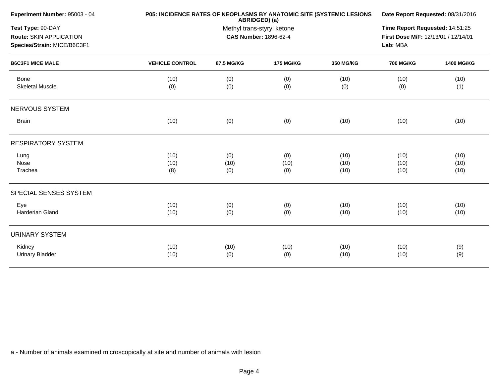| Experiment Number: 95003 - 04                                               | P05: INCIDENCE RATES OF NEOPLASMS BY ANATOMIC SITE (SYSTEMIC LESIONS<br>ABRIDGED) (a) |                                                            |                    | Date Report Requested: 08/31/2016 |                              |                      |  |
|-----------------------------------------------------------------------------|---------------------------------------------------------------------------------------|------------------------------------------------------------|--------------------|-----------------------------------|------------------------------|----------------------|--|
| Test Type: 90-DAY<br>Route: SKIN APPLICATION<br>Species/Strain: MICE/B6C3F1 |                                                                                       | Methyl trans-styryl ketone<br><b>CAS Number: 1896-62-4</b> |                    |                                   |                              |                      |  |
| <b>B6C3F1 MICE MALE</b>                                                     | <b>VEHICLE CONTROL</b>                                                                | 87.5 MG/KG                                                 | <b>175 MG/KG</b>   | <b>350 MG/KG</b>                  | Lab: MBA<br><b>700 MG/KG</b> | <b>1400 MG/KG</b>    |  |
| Bone<br><b>Skeletal Muscle</b>                                              | (10)<br>(0)                                                                           | (0)<br>(0)                                                 | (0)<br>(0)         | (10)<br>(0)                       | (10)<br>(0)                  | (10)<br>(1)          |  |
| NERVOUS SYSTEM                                                              |                                                                                       |                                                            |                    |                                   |                              |                      |  |
| <b>Brain</b>                                                                | (10)                                                                                  | (0)                                                        | (0)                | (10)                              | (10)                         | (10)                 |  |
| <b>RESPIRATORY SYSTEM</b>                                                   |                                                                                       |                                                            |                    |                                   |                              |                      |  |
| Lung<br>Nose<br>Trachea                                                     | (10)<br>(10)<br>(8)                                                                   | (0)<br>(10)<br>(0)                                         | (0)<br>(10)<br>(0) | (10)<br>(10)<br>(10)              | (10)<br>(10)<br>(10)         | (10)<br>(10)<br>(10) |  |
| SPECIAL SENSES SYSTEM                                                       |                                                                                       |                                                            |                    |                                   |                              |                      |  |
| Eye<br>Harderian Gland                                                      | (10)<br>(10)                                                                          | (0)<br>(0)                                                 | (0)<br>(0)         | (10)<br>(10)                      | (10)<br>(10)                 | (10)<br>(10)         |  |
| <b>URINARY SYSTEM</b>                                                       |                                                                                       |                                                            |                    |                                   |                              |                      |  |
| Kidney<br><b>Urinary Bladder</b>                                            | (10)<br>(10)                                                                          | (10)<br>(0)                                                | (10)<br>(0)        | (10)<br>(10)                      | (10)<br>(10)                 | (9)<br>(9)           |  |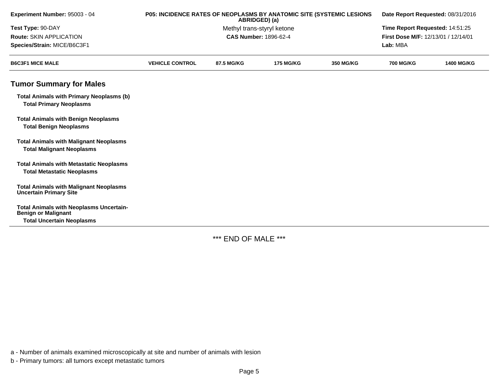| Experiment Number: 95003 - 04                                                       | P05: INCIDENCE RATES OF NEOPLASMS BY ANATOMIC SITE (SYSTEMIC LESIONS |            | ABRIDGED) (a)                |                  | Date Report Requested: 08/31/2016   |                   |  |
|-------------------------------------------------------------------------------------|----------------------------------------------------------------------|------------|------------------------------|------------------|-------------------------------------|-------------------|--|
| Test Type: 90-DAY                                                                   | Methyl trans-styryl ketone                                           |            |                              |                  | Time Report Requested: 14:51:25     |                   |  |
| Route: SKIN APPLICATION                                                             |                                                                      |            | <b>CAS Number: 1896-62-4</b> |                  | First Dose M/F: 12/13/01 / 12/14/01 |                   |  |
| Species/Strain: MICE/B6C3F1                                                         |                                                                      |            |                              |                  | Lab: MBA                            |                   |  |
| <b>B6C3F1 MICE MALE</b>                                                             | <b>VEHICLE CONTROL</b>                                               | 87.5 MG/KG | <b>175 MG/KG</b>             | <b>350 MG/KG</b> | <b>700 MG/KG</b>                    | <b>1400 MG/KG</b> |  |
| <b>Tumor Summary for Males</b>                                                      |                                                                      |            |                              |                  |                                     |                   |  |
| <b>Total Animals with Primary Neoplasms (b)</b><br><b>Total Primary Neoplasms</b>   |                                                                      |            |                              |                  |                                     |                   |  |
| <b>Total Animals with Benign Neoplasms</b><br><b>Total Benign Neoplasms</b>         |                                                                      |            |                              |                  |                                     |                   |  |
| <b>Total Animals with Malignant Neoplasms</b><br><b>Total Malignant Neoplasms</b>   |                                                                      |            |                              |                  |                                     |                   |  |
| <b>Total Animals with Metastatic Neoplasms</b><br><b>Total Metastatic Neoplasms</b> |                                                                      |            |                              |                  |                                     |                   |  |
| <b>Total Animals with Malignant Neoplasms</b><br><b>Uncertain Primary Site</b>      |                                                                      |            |                              |                  |                                     |                   |  |
| <b>Total Animals with Neoplasms Uncertain-</b><br><b>Benign or Malignant</b>        |                                                                      |            |                              |                  |                                     |                   |  |
| <b>Total Uncertain Neoplasms</b>                                                    |                                                                      |            |                              |                  |                                     |                   |  |

\*\*\* END OF MALE \*\*\*

a - Number of animals examined microscopically at site and number of animals with lesion

b - Primary tumors: all tumors except metastatic tumors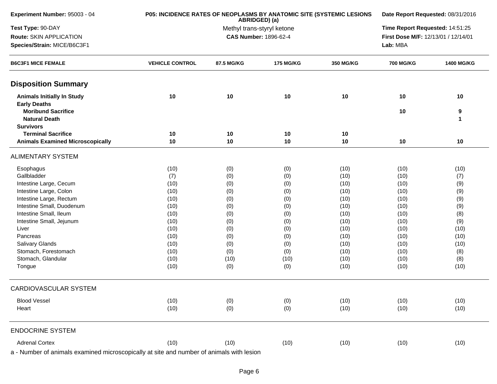| Experiment Number: 95003 - 04                                                            | P05: INCIDENCE RATES OF NEOPLASMS BY ANATOMIC SITE (SYSTEMIC LESIONS | Date Report Requested: 08/31/2016           |                  |              |                                     |                   |  |
|------------------------------------------------------------------------------------------|----------------------------------------------------------------------|---------------------------------------------|------------------|--------------|-------------------------------------|-------------------|--|
| Test Type: 90-DAY                                                                        |                                                                      | ABRIDGED) (a)<br>Methyl trans-styryl ketone |                  |              |                                     |                   |  |
| Route: SKIN APPLICATION                                                                  |                                                                      | CAS Number: 1896-62-4                       |                  |              | First Dose M/F: 12/13/01 / 12/14/01 |                   |  |
| Species/Strain: MICE/B6C3F1                                                              |                                                                      |                                             |                  |              | Lab: MBA                            |                   |  |
| <b>B6C3F1 MICE FEMALE</b>                                                                | <b>VEHICLE CONTROL</b>                                               | 87.5 MG/KG                                  | <b>175 MG/KG</b> | 350 MG/KG    | <b>700 MG/KG</b>                    | <b>1400 MG/KG</b> |  |
| <b>Disposition Summary</b>                                                               |                                                                      |                                             |                  |              |                                     |                   |  |
| <b>Animals Initially In Study</b>                                                        | 10                                                                   | 10                                          | 10               | 10           | 10                                  | 10                |  |
| <b>Early Deaths</b><br><b>Moribund Sacrifice</b><br><b>Natural Death</b>                 |                                                                      |                                             |                  |              | 10                                  | 9<br>$\mathbf{1}$ |  |
| <b>Survivors</b>                                                                         |                                                                      |                                             |                  |              |                                     |                   |  |
| <b>Terminal Sacrifice</b>                                                                | 10                                                                   | 10                                          | 10               | 10           |                                     |                   |  |
| <b>Animals Examined Microscopically</b>                                                  | 10                                                                   | 10                                          | 10               | 10           | 10                                  | 10                |  |
| <b>ALIMENTARY SYSTEM</b>                                                                 |                                                                      |                                             |                  |              |                                     |                   |  |
| Esophagus                                                                                | (10)                                                                 | (0)                                         | (0)              | (10)         | (10)                                | (10)              |  |
| Gallbladder                                                                              | (7)                                                                  | (0)                                         | (0)              | (10)         | (10)                                | (7)               |  |
| Intestine Large, Cecum                                                                   | (10)                                                                 | (0)                                         | (0)              | (10)         | (10)                                | (9)               |  |
| Intestine Large, Colon                                                                   | (10)                                                                 | (0)                                         | (0)              | (10)         | (10)                                | (9)               |  |
| Intestine Large, Rectum                                                                  | (10)                                                                 | (0)                                         | (0)              | (10)         | (10)                                | (9)               |  |
| Intestine Small, Duodenum                                                                | (10)                                                                 | (0)                                         | (0)              | (10)         | (10)                                | (9)               |  |
| Intestine Small, Ileum                                                                   | (10)                                                                 | (0)                                         | (0)              | (10)         | (10)                                | (8)               |  |
| Intestine Small, Jejunum                                                                 | (10)                                                                 | (0)                                         | (0)              | (10)         | (10)                                | (9)               |  |
| Liver                                                                                    | (10)                                                                 | (0)                                         | (0)              | (10)         | (10)                                | (10)              |  |
| Pancreas                                                                                 | (10)                                                                 | (0)                                         | (0)              | (10)         | (10)                                | (10)              |  |
| Salivary Glands                                                                          | (10)                                                                 | (0)                                         | (0)              | (10)         | (10)                                | (10)              |  |
| Stomach, Forestomach                                                                     | (10)                                                                 | (0)                                         | (0)              | (10)         | (10)                                | (8)               |  |
| Stomach, Glandular<br>Tongue                                                             | (10)<br>(10)                                                         | (10)<br>(0)                                 | (10)<br>(0)      | (10)<br>(10) | (10)<br>(10)                        | (8)<br>(10)       |  |
| CARDIOVASCULAR SYSTEM                                                                    |                                                                      |                                             |                  |              |                                     |                   |  |
|                                                                                          |                                                                      |                                             |                  |              |                                     |                   |  |
| <b>Blood Vessel</b><br>Heart                                                             | (10)<br>(10)                                                         | (0)<br>(0)                                  | (0)<br>(0)       | (10)<br>(10) | (10)<br>(10)                        | (10)<br>(10)      |  |
| <b>ENDOCRINE SYSTEM</b>                                                                  |                                                                      |                                             |                  |              |                                     |                   |  |
| <b>Adrenal Cortex</b>                                                                    | (10)                                                                 | (10)                                        | (10)             | (10)         | (10)                                | (10)              |  |
| a - Number of animals examined microscopically at site and number of animals with lesion |                                                                      |                                             |                  |              |                                     |                   |  |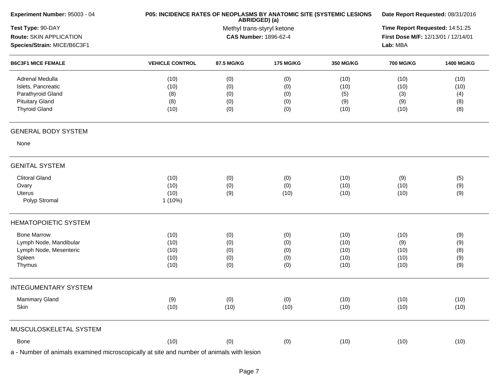| ABRIDGED) (a)<br>Test Type: 90-DAY<br>Methyl trans-styryl ketone<br>Route: SKIN APPLICATION<br><b>CAS Number: 1896-62-4</b><br>Species/Strain: MICE/B6C3F1<br><b>B6C3F1 MICE FEMALE</b><br><b>VEHICLE CONTROL</b><br>87.5 MG/KG<br><b>175 MG/KG</b><br>350 MG/KG<br>Adrenal Medulla<br>(10)<br>(0)<br>(0)<br>(10)<br>Islets, Pancreatic<br>(10)<br>(0)<br>(0)<br>(10)<br>Parathyroid Gland<br>(8)<br>(0)<br>(0)<br>(5)<br><b>Pituitary Gland</b><br>(8)<br>(0)<br>(0)<br>(9)<br><b>Thyroid Gland</b><br>(10)<br>(0)<br>(0)<br>(10)<br><b>GENERAL BODY SYSTEM</b><br>None<br><b>GENITAL SYSTEM</b><br><b>Clitoral Gland</b><br>(10)<br>(0)<br>(10)<br>(0)<br>(10)<br>(0)<br>Ovary<br>(0)<br>(10)<br>(10)<br>Uterus<br>(9)<br>(10)<br>(10)<br>Polyp Stromal<br>$1(10\%)$<br><b>HEMATOPOIETIC SYSTEM</b> | Time Report Requested: 14:51:25<br>First Dose M/F: 12/13/01 / 12/14/01<br>Lab: MBA<br><b>700 MG/KG</b><br>(10)<br>(10)<br>(3)<br>(9)<br>(10) | 1400 MG/KG<br>(10)<br>(10)<br>(4)<br>(8)<br>(8) |
|-------------------------------------------------------------------------------------------------------------------------------------------------------------------------------------------------------------------------------------------------------------------------------------------------------------------------------------------------------------------------------------------------------------------------------------------------------------------------------------------------------------------------------------------------------------------------------------------------------------------------------------------------------------------------------------------------------------------------------------------------------------------------------------------------------|----------------------------------------------------------------------------------------------------------------------------------------------|-------------------------------------------------|
|                                                                                                                                                                                                                                                                                                                                                                                                                                                                                                                                                                                                                                                                                                                                                                                                       |                                                                                                                                              |                                                 |
|                                                                                                                                                                                                                                                                                                                                                                                                                                                                                                                                                                                                                                                                                                                                                                                                       |                                                                                                                                              |                                                 |
|                                                                                                                                                                                                                                                                                                                                                                                                                                                                                                                                                                                                                                                                                                                                                                                                       |                                                                                                                                              |                                                 |
|                                                                                                                                                                                                                                                                                                                                                                                                                                                                                                                                                                                                                                                                                                                                                                                                       |                                                                                                                                              |                                                 |
|                                                                                                                                                                                                                                                                                                                                                                                                                                                                                                                                                                                                                                                                                                                                                                                                       |                                                                                                                                              |                                                 |
|                                                                                                                                                                                                                                                                                                                                                                                                                                                                                                                                                                                                                                                                                                                                                                                                       |                                                                                                                                              |                                                 |
|                                                                                                                                                                                                                                                                                                                                                                                                                                                                                                                                                                                                                                                                                                                                                                                                       |                                                                                                                                              |                                                 |
|                                                                                                                                                                                                                                                                                                                                                                                                                                                                                                                                                                                                                                                                                                                                                                                                       |                                                                                                                                              |                                                 |
|                                                                                                                                                                                                                                                                                                                                                                                                                                                                                                                                                                                                                                                                                                                                                                                                       |                                                                                                                                              |                                                 |
|                                                                                                                                                                                                                                                                                                                                                                                                                                                                                                                                                                                                                                                                                                                                                                                                       |                                                                                                                                              |                                                 |
|                                                                                                                                                                                                                                                                                                                                                                                                                                                                                                                                                                                                                                                                                                                                                                                                       |                                                                                                                                              |                                                 |
|                                                                                                                                                                                                                                                                                                                                                                                                                                                                                                                                                                                                                                                                                                                                                                                                       | (9)                                                                                                                                          | (5)                                             |
|                                                                                                                                                                                                                                                                                                                                                                                                                                                                                                                                                                                                                                                                                                                                                                                                       | (10)                                                                                                                                         | (9)                                             |
|                                                                                                                                                                                                                                                                                                                                                                                                                                                                                                                                                                                                                                                                                                                                                                                                       | (10)                                                                                                                                         | (9)                                             |
|                                                                                                                                                                                                                                                                                                                                                                                                                                                                                                                                                                                                                                                                                                                                                                                                       |                                                                                                                                              |                                                 |
|                                                                                                                                                                                                                                                                                                                                                                                                                                                                                                                                                                                                                                                                                                                                                                                                       |                                                                                                                                              |                                                 |
|                                                                                                                                                                                                                                                                                                                                                                                                                                                                                                                                                                                                                                                                                                                                                                                                       |                                                                                                                                              |                                                 |
| <b>Bone Marrow</b><br>(10)<br>(10)<br>(0)<br>(0)                                                                                                                                                                                                                                                                                                                                                                                                                                                                                                                                                                                                                                                                                                                                                      | (10)                                                                                                                                         | (9)                                             |
| Lymph Node, Mandibular<br>(10)<br>(0)<br>(0)<br>(10)                                                                                                                                                                                                                                                                                                                                                                                                                                                                                                                                                                                                                                                                                                                                                  | (9)                                                                                                                                          | (9)                                             |
| Lymph Node, Mesenteric<br>(10)<br>(0)<br>(0)<br>(10)                                                                                                                                                                                                                                                                                                                                                                                                                                                                                                                                                                                                                                                                                                                                                  | (10)                                                                                                                                         | (8)                                             |
| Spleen<br>(10)<br>(0)<br>(0)<br>(10)                                                                                                                                                                                                                                                                                                                                                                                                                                                                                                                                                                                                                                                                                                                                                                  | (10)                                                                                                                                         | (9)                                             |
| Thymus<br>(10)<br>(0)<br>(0)<br>(10)                                                                                                                                                                                                                                                                                                                                                                                                                                                                                                                                                                                                                                                                                                                                                                  | (10)                                                                                                                                         | (9)                                             |
| <b>INTEGUMENTARY SYSTEM</b>                                                                                                                                                                                                                                                                                                                                                                                                                                                                                                                                                                                                                                                                                                                                                                           |                                                                                                                                              |                                                 |
| Mammary Gland<br>(9)<br>(0)<br>(10)<br>(0)                                                                                                                                                                                                                                                                                                                                                                                                                                                                                                                                                                                                                                                                                                                                                            | (10)                                                                                                                                         | (10)                                            |
| (10)<br>(10)<br>Skin<br>(10)<br>(10)                                                                                                                                                                                                                                                                                                                                                                                                                                                                                                                                                                                                                                                                                                                                                                  | (10)                                                                                                                                         | (10)                                            |
| MUSCULOSKELETAL SYSTEM                                                                                                                                                                                                                                                                                                                                                                                                                                                                                                                                                                                                                                                                                                                                                                                |                                                                                                                                              |                                                 |
| (10)<br>(0)<br>Bone<br>(10)                                                                                                                                                                                                                                                                                                                                                                                                                                                                                                                                                                                                                                                                                                                                                                           | (10)                                                                                                                                         | (10)                                            |
| (0)                                                                                                                                                                                                                                                                                                                                                                                                                                                                                                                                                                                                                                                                                                                                                                                                   |                                                                                                                                              |                                                 |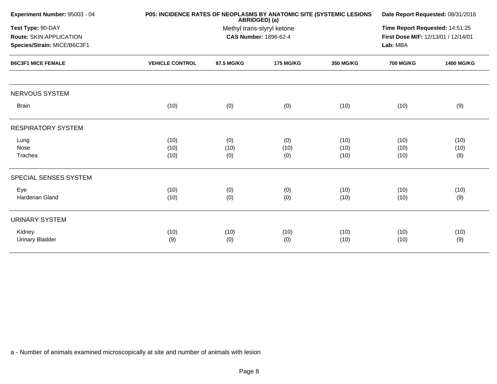| Experiment Number: 95003 - 04                                               | <b>P05: INCIDENCE RATES OF NEOPLASMS BY ANATOMIC SITE (SYSTEMIC LESIONS)</b> |                                                                             | Date Report Requested: 08/31/2016 |                      |                      |                     |  |
|-----------------------------------------------------------------------------|------------------------------------------------------------------------------|-----------------------------------------------------------------------------|-----------------------------------|----------------------|----------------------|---------------------|--|
| Test Type: 90-DAY<br>Route: SKIN APPLICATION<br>Species/Strain: MICE/B6C3F1 |                                                                              | ABRIDGED) (a)<br>Methyl trans-styryl ketone<br><b>CAS Number: 1896-62-4</b> |                                   |                      |                      |                     |  |
| <b>B6C3F1 MICE FEMALE</b>                                                   | <b>VEHICLE CONTROL</b>                                                       | 87.5 MG/KG                                                                  | <b>175 MG/KG</b>                  | <b>350 MG/KG</b>     | <b>700 MG/KG</b>     | 1400 MG/KG          |  |
| NERVOUS SYSTEM                                                              |                                                                              |                                                                             |                                   |                      |                      |                     |  |
| <b>Brain</b>                                                                | (10)                                                                         | (0)                                                                         | (0)                               | (10)                 | (10)                 | (9)                 |  |
| <b>RESPIRATORY SYSTEM</b>                                                   |                                                                              |                                                                             |                                   |                      |                      |                     |  |
| Lung<br>Nose<br>Trachea                                                     | (10)<br>(10)<br>(10)                                                         | (0)<br>(10)<br>(0)                                                          | (0)<br>(10)<br>(0)                | (10)<br>(10)<br>(10) | (10)<br>(10)<br>(10) | (10)<br>(10)<br>(8) |  |
| SPECIAL SENSES SYSTEM                                                       |                                                                              |                                                                             |                                   |                      |                      |                     |  |
| Eye<br><b>Harderian Gland</b>                                               | (10)<br>(10)                                                                 | (0)<br>(0)                                                                  | (0)<br>(0)                        | (10)<br>(10)         | (10)<br>(10)         | (10)<br>(9)         |  |
| <b>URINARY SYSTEM</b>                                                       |                                                                              |                                                                             |                                   |                      |                      |                     |  |
| Kidney<br><b>Urinary Bladder</b>                                            | (10)<br>(9)                                                                  | (10)<br>(0)                                                                 | (10)<br>(0)                       | (10)<br>(10)         | (10)<br>(10)         | (10)<br>(9)         |  |
|                                                                             |                                                                              |                                                                             |                                   |                      |                      |                     |  |